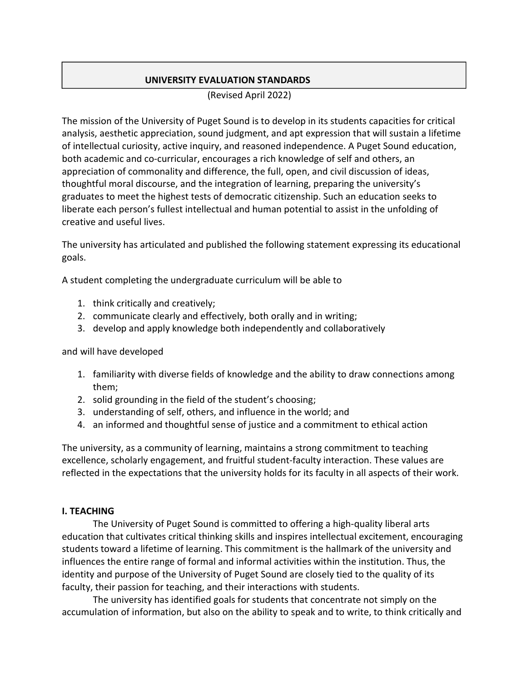# UNIVERSITY EVALUATION STANDARDS

(Revised April 2022)

The mission of the University of Puget Sound is to develop in its students capacities for critical analysis, aesthetic appreciation, sound judgment, and apt expression that will sustain a lifetime of intellectual curiosity, active inquiry, and reasoned independence. A Puget Sound education, both academic and co-curricular, encourages a rich knowledge of self and others, an appreciation of commonality and difference, the full, open, and civil discussion of ideas, thoughtful moral discourse, and the integration of learning, preparing the university's graduates to meet the highest tests of democratic citizenship. Such an education seeks to liberate each person's fullest intellectual and human potential to assist in the unfolding of creative and useful lives.

The university has articulated and published the following statement expressing its educational goals.

A student completing the undergraduate curriculum will be able to

- 1. think critically and creatively;
- 2. communicate clearly and effectively, both orally and in writing;
- 3. develop and apply knowledge both independently and collaboratively

and will have developed

- 1. familiarity with diverse fields of knowledge and the ability to draw connections among them;
- 2. solid grounding in the field of the student's choosing;
- 3. understanding of self, others, and influence in the world; and
- 4. an informed and thoughtful sense of justice and a commitment to ethical action

The university, as a community of learning, maintains a strong commitment to teaching excellence, scholarly engagement, and fruitful student-faculty interaction. These values are reflected in the expectations that the university holds for its faculty in all aspects of their work.

### I. TEACHING

The University of Puget Sound is committed to offering a high-quality liberal arts education that cultivates critical thinking skills and inspires intellectual excitement, encouraging students toward a lifetime of learning. This commitment is the hallmark of the university and influences the entire range of formal and informal activities within the institution. Thus, the identity and purpose of the University of Puget Sound are closely tied to the quality of its faculty, their passion for teaching, and their interactions with students.

The university has identified goals for students that concentrate not simply on the accumulation of information, but also on the ability to speak and to write, to think critically and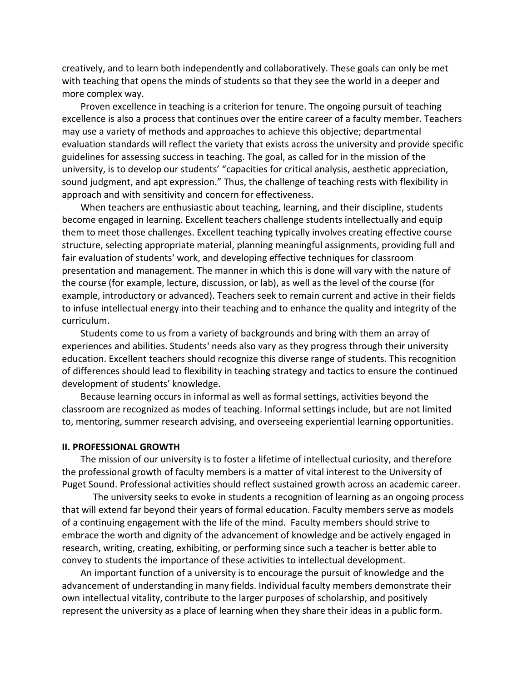creatively, and to learn both independently and collaboratively. These goals can only be met with teaching that opens the minds of students so that they see the world in a deeper and more complex way.

Proven excellence in teaching is a criterion for tenure. The ongoing pursuit of teaching excellence is also a process that continues over the entire career of a faculty member. Teachers may use a variety of methods and approaches to achieve this objective; departmental evaluation standards will reflect the variety that exists across the university and provide specific guidelines for assessing success in teaching. The goal, as called for in the mission of the university, is to develop our students' "capacities for critical analysis, aesthetic appreciation, sound judgment, and apt expression." Thus, the challenge of teaching rests with flexibility in approach and with sensitivity and concern for effectiveness.

When teachers are enthusiastic about teaching, learning, and their discipline, students become engaged in learning. Excellent teachers challenge students intellectually and equip them to meet those challenges. Excellent teaching typically involves creating effective course structure, selecting appropriate material, planning meaningful assignments, providing full and fair evaluation of students' work, and developing effective techniques for classroom presentation and management. The manner in which this is done will vary with the nature of the course (for example, lecture, discussion, or lab), as well as the level of the course (for example, introductory or advanced). Teachers seek to remain current and active in their fields to infuse intellectual energy into their teaching and to enhance the quality and integrity of the curriculum.

Students come to us from a variety of backgrounds and bring with them an array of experiences and abilities. Students' needs also vary as they progress through their university education. Excellent teachers should recognize this diverse range of students. This recognition of differences should lead to flexibility in teaching strategy and tactics to ensure the continued development of students' knowledge.

Because learning occurs in informal as well as formal settings, activities beyond the classroom are recognized as modes of teaching. Informal settings include, but are not limited to, mentoring, summer research advising, and overseeing experiential learning opportunities.

### II. PROFESSIONAL GROWTH

The mission of our university is to foster a lifetime of intellectual curiosity, and therefore the professional growth of faculty members is a matter of vital interest to the University of Puget Sound. Professional activities should reflect sustained growth across an academic career.

The university seeks to evoke in students a recognition of learning as an ongoing process that will extend far beyond their years of formal education. Faculty members serve as models of a continuing engagement with the life of the mind. Faculty members should strive to embrace the worth and dignity of the advancement of knowledge and be actively engaged in research, writing, creating, exhibiting, or performing since such a teacher is better able to convey to students the importance of these activities to intellectual development.

An important function of a university is to encourage the pursuit of knowledge and the advancement of understanding in many fields. Individual faculty members demonstrate their own intellectual vitality, contribute to the larger purposes of scholarship, and positively represent the university as a place of learning when they share their ideas in a public form.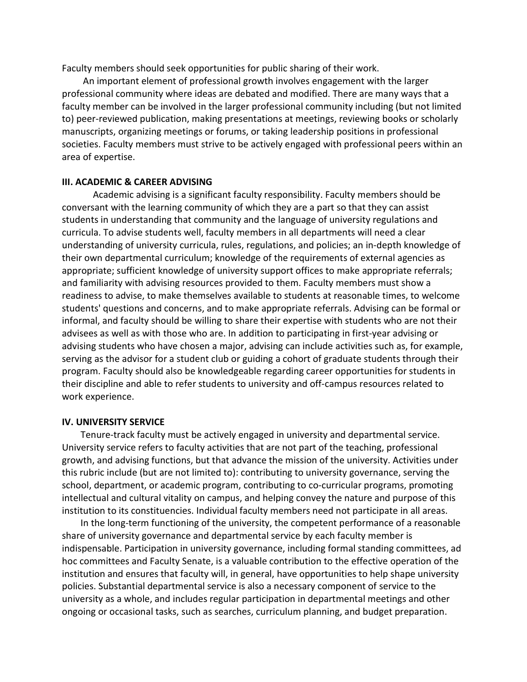Faculty members should seek opportunities for public sharing of their work.

 An important element of professional growth involves engagement with the larger professional community where ideas are debated and modified. There are many ways that a faculty member can be involved in the larger professional community including (but not limited to) peer-reviewed publication, making presentations at meetings, reviewing books or scholarly manuscripts, organizing meetings or forums, or taking leadership positions in professional societies. Faculty members must strive to be actively engaged with professional peers within an area of expertise.

### III. ACADEMIC & CAREER ADVISING

Academic advising is a significant faculty responsibility. Faculty members should be conversant with the learning community of which they are a part so that they can assist students in understanding that community and the language of university regulations and curricula. To advise students well, faculty members in all departments will need a clear understanding of university curricula, rules, regulations, and policies; an in-depth knowledge of their own departmental curriculum; knowledge of the requirements of external agencies as appropriate; sufficient knowledge of university support offices to make appropriate referrals; and familiarity with advising resources provided to them. Faculty members must show a readiness to advise, to make themselves available to students at reasonable times, to welcome students' questions and concerns, and to make appropriate referrals. Advising can be formal or informal, and faculty should be willing to share their expertise with students who are not their advisees as well as with those who are. In addition to participating in first-year advising or advising students who have chosen a major, advising can include activities such as, for example, serving as the advisor for a student club or guiding a cohort of graduate students through their program. Faculty should also be knowledgeable regarding career opportunities for students in their discipline and able to refer students to university and off-campus resources related to work experience.

#### IV. UNIVERSITY SERVICE

Tenure-track faculty must be actively engaged in university and departmental service. University service refers to faculty activities that are not part of the teaching, professional growth, and advising functions, but that advance the mission of the university. Activities under this rubric include (but are not limited to): contributing to university governance, serving the school, department, or academic program, contributing to co-curricular programs, promoting intellectual and cultural vitality on campus, and helping convey the nature and purpose of this institution to its constituencies. Individual faculty members need not participate in all areas.

In the long-term functioning of the university, the competent performance of a reasonable share of university governance and departmental service by each faculty member is indispensable. Participation in university governance, including formal standing committees, ad hoc committees and Faculty Senate, is a valuable contribution to the effective operation of the institution and ensures that faculty will, in general, have opportunities to help shape university policies. Substantial departmental service is also a necessary component of service to the university as a whole, and includes regular participation in departmental meetings and other ongoing or occasional tasks, such as searches, curriculum planning, and budget preparation.